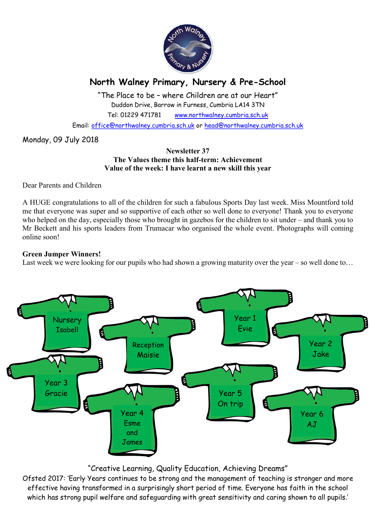

# North Walney Primary, Nursery & Pre-School

"The Place to be – where Children are at our Heart" Duddon Drive, Barrow in Furness, Cumbria LA14 3TN Tel: 01229 471781 www.northwalney.cumbria.sch.uk

Email: office@northwalney.cumbria.sch.uk or head@northwalney.cumbria.sch.uk

Monday, 09 July 2018

## Newsletter 37 The Values theme this half-term: Achievement Value of the week: I have learnt a new skill this year

Dear Parents and Children

A HUGE congratulations to all of the children for such a fabulous Sports Day last week. Miss Mountford told me that everyone was super and so supportive of each other so well done to everyone! Thank you to everyone who helped on the day, especially those who brought in gazebos for the children to sit under – and thank you to Mr Beckett and his sports leaders from Trumacar who organised the whole event. Photographs will coming online soon!

## Green Jumper Winners!

Last week we were looking for our pupils who had shown a growing maturity over the year – so well done to...



## "Creative Learning, Quality Education, Achieving Dreams"

Ofsted 2017: 'Early Years continues to be strong and the management of teaching is stronger and more effective having transformed in a surprisingly short period of time. Everyone has faith in the school which has strong pupil welfare and safeguarding with great sensitivity and caring shown to all pupils.'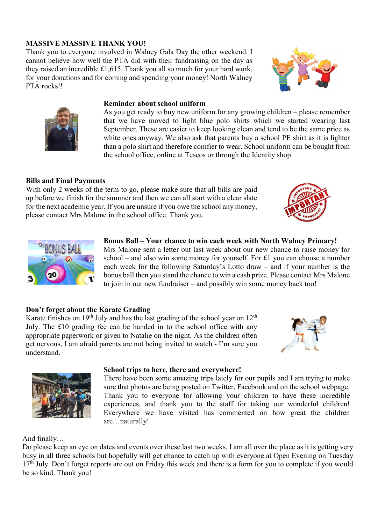## MASSIVE MASSIVE THANK YOU!

Thank you to everyone involved in Walney Gala Day the other weekend. I cannot believe how well the PTA did with their fundraising on the day as they raised an incredible £1,615. Thank you all so much for your hard work, for your donations and for coming and spending your money! North Walney PTA rocks!!





#### Reminder about school uniform

As you get ready to buy new uniform for any growing children – please remember that we have moved to light blue polo shirts which we started wearing last September. These are easier to keep looking clean and tend to be the same price as white ones anyway. We also ask that parents buy a school PE shirt as it is lighter than a polo shirt and therefore comfier to wear. School uniform can be bought from the school office, online at Tescos or through the Identity shop.

## Bills and Final Payments

With only 2 weeks of the term to go, please make sure that all bills are paid up before we finish for the summer and then we can all start with a clear slate for the next academic year. If you are unsure if you owe the school any money, please contact Mrs Malone in the school office. Thank you.





Bonus Ball – Your chance to win each week with North Walney Primary! Mrs Malone sent a letter out last week about our new chance to raise money for school – and also win some money for yourself. For £1 you can choose a number each week for the following Saturday's Lotto draw – and if your number is the bonus ball then you stand the chance to win a cash prize. Please contact Mrs Malone to join in our new fundraiser – and possibly win some money back too!

## Don't forget about the Karate Grading

Karate finishes on  $19<sup>th</sup>$  July and has the last grading of the school year on  $12<sup>th</sup>$ July. The £10 grading fee can be handed in to the school office with any appropriate paperwork or given to Natalie on the night. As the children often get nervous, I am afraid parents are not being invited to watch - I'm sure you understand.





#### School trips to here, there and everywhere!

There have been some amazing trips lately for our pupils and I am trying to make sure that photos are being posted on Twitter, Facebook and on the school webpage. Thank you to everyone for allowing your children to have these incredible experiences, and thank you to the staff for taking our wonderful children! Everywhere we have visited has commented on how great the children are…naturally!

## And finally…

Do please keep an eye on dates and events over these last two weeks. I am all over the place as it is getting very busy in all three schools but hopefully will get chance to catch up with everyone at Open Evening on Tuesday 17<sup>th</sup> July. Don't forget reports are out on Friday this week and there is a form for you to complete if you would be so kind. Thank you!